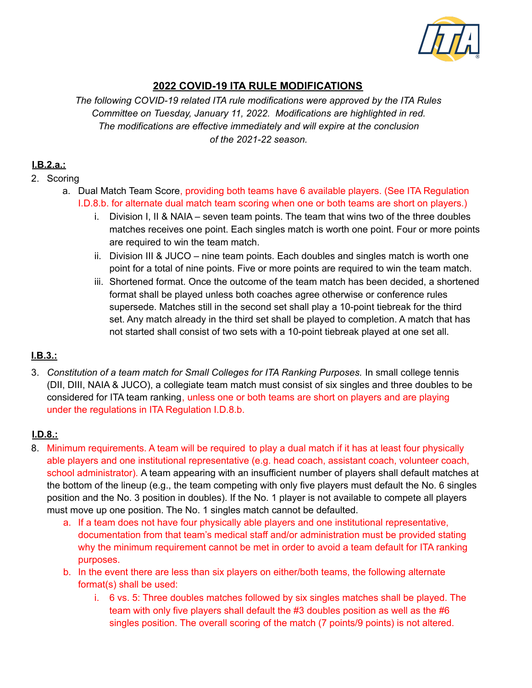

## **2022 COVID-19 ITA RULE MODIFICATIONS**

*The following COVID-19 related ITA rule modifications were approved by the ITA Rules Committee on Tuesday, January 11, 2022. Modifications are highlighted in red. The modifications are effective immediately and will expire at the conclusion of the 2021-22 season.*

## **I.B.2.a.:**

### 2. Scoring

- a. Dual Match Team Score, providing both teams have 6 available players. (See ITA Regulation I.D.8.b. for alternate dual match team scoring when one or both teams are short on players.)
	- i. Division I, II & NAIA seven team points. The team that wins two of the three doubles matches receives one point. Each singles match is worth one point. Four or more points are required to win the team match.
	- ii. Division III & JUCO nine team points. Each doubles and singles match is worth one point for a total of nine points. Five or more points are required to win the team match.
	- iii. Shortened format. Once the outcome of the team match has been decided, a shortened format shall be played unless both coaches agree otherwise or conference rules supersede. Matches still in the second set shall play a 10-point tiebreak for the third set. Any match already in the third set shall be played to completion. A match that has not started shall consist of two sets with a 10-point tiebreak played at one set all.

# **I.B.3.:**

3. *Constitution of a team match for Small Colleges for ITA Ranking Purposes.* In small college tennis (DII, DIII, NAIA & JUCO), a collegiate team match must consist of six singles and three doubles to be considered for ITA team ranking, unless one or both teams are short on players and are playing under the regulations in ITA Regulation I.D.8.b.

## **I.D.8.:**

- 8. Minimum requirements. A team will be required to play a dual match if it has at least four physically able players and one institutional representative (e.g. head coach, assistant coach, volunteer coach, school administrator). A team appearing with an insufficient number of players shall default matches at the bottom of the lineup (e.g., the team competing with only five players must default the No. 6 singles position and the No. 3 position in doubles). If the No. 1 player is not available to compete all players must move up one position. The No. 1 singles match cannot be defaulted.
	- a. If a team does not have four physically able players and one institutional representative, documentation from that team's medical staff and/or administration must be provided stating why the minimum requirement cannot be met in order to avoid a team default for ITA ranking purposes.
	- b. In the event there are less than six players on either/both teams, the following alternate format(s) shall be used:
		- i. 6 vs. 5: Three doubles matches followed by six singles matches shall be played. The team with only five players shall default the #3 doubles position as well as the #6 singles position. The overall scoring of the match (7 points/9 points) is not altered.